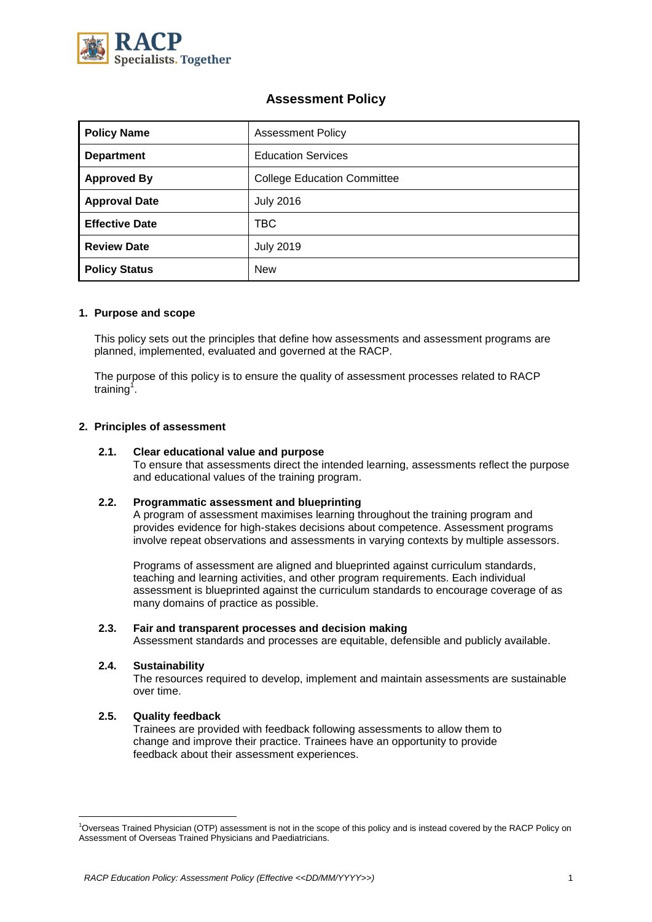

# **Assessment Policy**

| <b>Policy Name</b>    | <b>Assessment Policy</b>           |  |  |
|-----------------------|------------------------------------|--|--|
| <b>Department</b>     | <b>Education Services</b>          |  |  |
| <b>Approved By</b>    | <b>College Education Committee</b> |  |  |
| <b>Approval Date</b>  | <b>July 2016</b>                   |  |  |
| <b>Effective Date</b> | TBC.                               |  |  |
| <b>Review Date</b>    | <b>July 2019</b>                   |  |  |
| <b>Policy Status</b>  | <b>New</b>                         |  |  |

# **1. Purpose and scope**

This policy sets out the principles that define how assessments and assessment programs are planned, implemented, evaluated and governed at the RACP.

The purpose of this policy is to ensure the quality of assessment processes related to RACP training<sup>1</sup>.

# **2. Principles of assessment**

## **2.1. Clear educational value and purpose**

To ensure that assessments direct the intended learning, assessments reflect the purpose and educational values of the training program.

## **2.2. Programmatic assessment and blueprinting**

A program of assessment maximises learning throughout the training program and provides evidence for high-stakes decisions about competence. Assessment programs involve repeat observations and assessments in varying contexts by multiple assessors.

Programs of assessment are aligned and blueprinted against curriculum standards, teaching and learning activities, and other program requirements. Each individual assessment is blueprinted against the curriculum standards to encourage coverage of as many domains of practice as possible.

# **2.3. Fair and transparent processes and decision making**

Assessment standards and processes are equitable, defensible and publicly available.

# **2.4. Sustainability**

The resources required to develop, implement and maintain assessments are sustainable over time.

## **2.5. Quality feedback**

Trainees are provided with feedback following assessments to allow them to change and improve their practice. Trainees have an opportunity to provide feedback about their assessment experiences.

<sup>1</sup>Overseas Trained Physician (OTP) assessment is not in the scope of this policy and is instead covered by the RACP Policy on Assessment of Overseas Trained Physicians and Paediatricians.